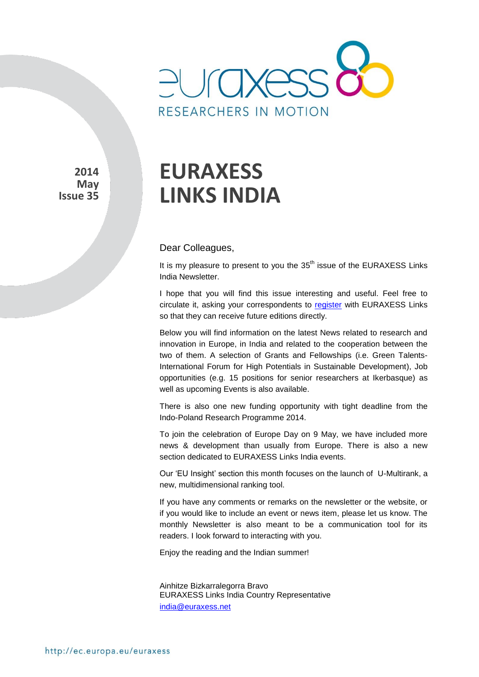

**2014 May Issue 35** 

# **EURAXESS LINKS INDIA**

#### Dear Colleagues,

It is my pleasure to present to you the  $35<sup>th</sup>$  issue of the EURAXESS Links India Newsletter.

I hope that you will find this issue interesting and useful. Feel free to circulate it, asking your correspondents to [register](http://europa.eu/sinapse/directaccess/euraxess-links-india/join) with EURAXESS Links so that they can receive future editions directly.

Below you will find information on the latest News related to research and innovation in Europe, in India and related to the cooperation between the two of them. A selection of Grants and Fellowships (i.e. Green Talents-International Forum for High Potentials in Sustainable Development), Job opportunities (e.g. 15 positions for senior researchers at Ikerbasque) as well as upcoming Events is also available.

There is also one new funding opportunity with tight deadline from the Indo-Poland Research Programme 2014.

To join the celebration of Europe Day on 9 May, we have included more news & development than usually from Europe. There is also a new section dedicated to EURAXESS Links India events.

Our 'EU Insight' section this month focuses on the launch of U-Multirank, a new, multidimensional ranking tool.

If you have any comments or remarks on the newsletter or the website, or if you would like to include an event or news item, please let us know. The monthly Newsletter is also meant to be a communication tool for its readers. I look forward to interacting with you.

Enjoy the reading and the Indian summer!

Ainhitze Bizkarralegorra Bravo EURAXESS Links India Country Representative [india@euraxess.net](mailto:aurelie.pachkoff@euraxess.net)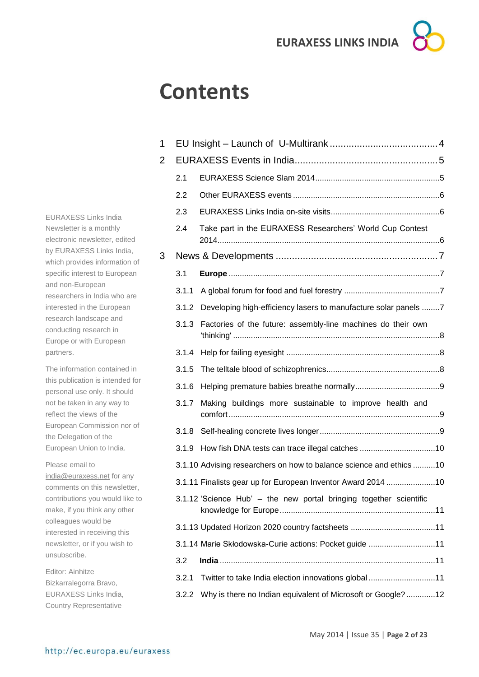## **Contents**

1 EU Insight – Launch of U-Multirank [........................................4](#page-3-0) 2 [EURAXESS Events in India.....................................................5](#page-4-0) 2.1 [EURAXESS Science Slam 2014........................................................5](#page-4-1) 2.2 Other EURAXESS events [..................................................................6](#page-5-0) 2.3 [EURAXESS Links India on-site visits.................................................6](#page-5-1) 2.4 [Take part in the EURAXESS Researchers' World Cup Contest](#page-5-2)  [2014....................................................................................................6](#page-5-2) 3 News & Developments [............................................................7](#page-6-0) 3.1 **Europe** [...............................................................................................7](#page-6-1) 3.1.1 [A global forum for food and fuel forestry](#page-6-2) ...........................................7 3.1.2 [Developing high-efficiency lasers to manufacture solar panels](#page-6-3) ........7 3.1.3 [Factories of the future: assembly-line machines do their own](#page-7-0)  'thinking' [.............................................................................................8](#page-7-0) 3.1.4 Help for failing eyesight [.....................................................................8](#page-7-1) 3.1.5 [The telltale blood of schizophrenics...................................................8](#page-7-2) 3.1.6 [Helping premature babies breathe normally......................................9](#page-8-0) 3.1.7 [Making buildings more sustainable to improve health and](#page-8-1)  [comfort...............................................................................................9](#page-8-1) 3.1.8 [Self-healing concrete lives longer......................................................9](#page-8-2) 3.1.9 [How fish DNA tests can trace illegal catches](#page-9-0) ..................................10 3.1.10 [Advising researchers on how to balance science and ethics](#page-9-1) ..........10 3.1.11 [Finalists gear up for European Inventor Award 2014](#page-9-2) ......................10 3.1.12 'Science Hub' – [the new portal bringing together scientific](#page-10-0)  [knowledge for Europe......................................................................11](#page-10-0) 3.1.13 [Updated Horizon 2020 country factsheets](#page-10-1) ......................................11 3.1.14 [Marie Skłodowska-Curie actions: Pocket guide](#page-10-2) ..............................11 3.2 **India** [.................................................................................................11](#page-10-3) 3.2.1 [Twitter to take India election innovations global](#page-10-4) ..............................11 3.2.2 [Why is there no Indian equivalent of Microsoft or Google?.............12](#page-11-0)

EURAXESS Links India Newsletter is a monthly electronic newsletter, edited by EURAXESS Links India, which provides information of specific interest to European and non-European researchers in India who are interested in the European research landscape and conducting research in Europe or with European partners.

The information contained in this publication is intended for personal use only. It should not be taken in any way to reflect the views of the European Commission nor of the Delegation of the European Union to India.

Please email to [india@euraxess.net](mailto:india@euraxess.net) for any comments on this newsletter, contributions you would like to make, if you think any other colleagues would be interested in receiving this newsletter, or if you wish to unsubscribe.

Editor: Ainhitze Bizkarralegorra Bravo, EURAXESS Links India, Country Representative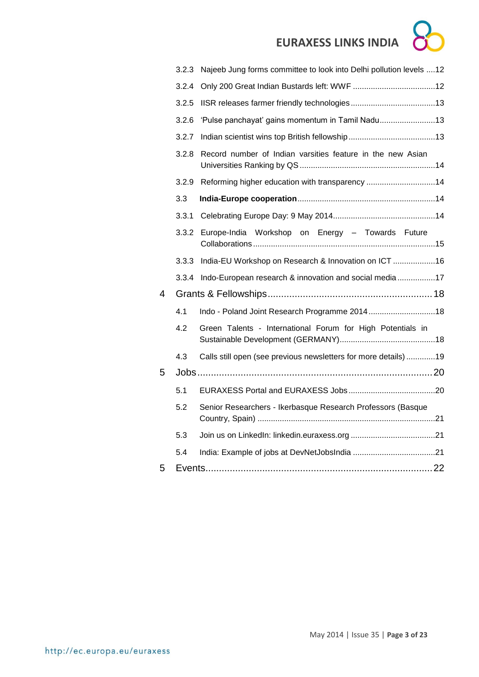|   | 3.2.3 | Najeeb Jung forms committee to look into Delhi pollution levels  12 |  |
|---|-------|---------------------------------------------------------------------|--|
|   | 3.2.4 |                                                                     |  |
|   | 3.2.5 |                                                                     |  |
|   | 3.2.6 | 'Pulse panchayat' gains momentum in Tamil Nadu13                    |  |
|   | 3.2.7 |                                                                     |  |
|   | 3.2.8 | Record number of Indian varsities feature in the new Asian          |  |
|   | 3.2.9 | Reforming higher education with transparency 14                     |  |
|   | 3.3   |                                                                     |  |
|   | 3.3.1 |                                                                     |  |
|   | 3.3.2 | Europe-India Workshop on Energy - Towards Future                    |  |
|   | 3.3.3 | India-EU Workshop on Research & Innovation on ICT 16                |  |
|   | 3.3.4 | Indo-European research & innovation and social media 17             |  |
| 4 |       |                                                                     |  |
|   | 4.1   | Indo - Poland Joint Research Programme 201418                       |  |
|   | 4.2   | Green Talents - International Forum for High Potentials in          |  |
|   | 4.3   | Calls still open (see previous newsletters for more details) 19     |  |
| 5 |       |                                                                     |  |
|   | 5.1   |                                                                     |  |
|   | 5.2   | Senior Researchers - Ikerbasque Research Professors (Basque         |  |
|   | 5.3   |                                                                     |  |
|   | 5.4   |                                                                     |  |
| 5 |       |                                                                     |  |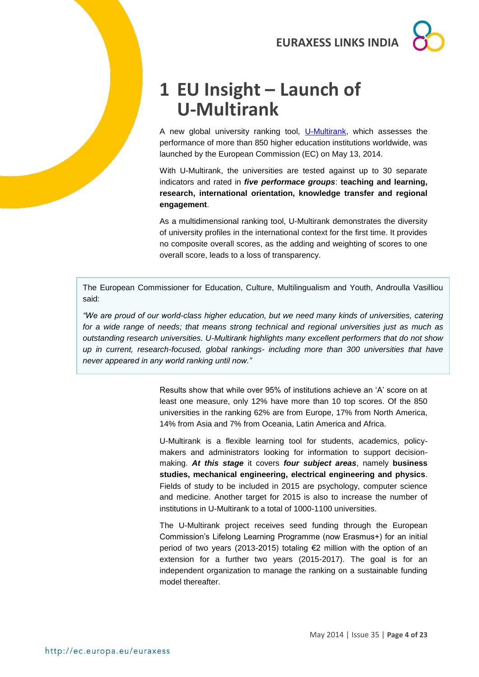## <span id="page-3-0"></span>**1 EU Insight – Launch of U-Multirank**

A new global university ranking tool, [U-Multirank,](http://www.umultirank.org/#!/home?trackType=home) which assesses the performance of more than 850 higher education institutions worldwide, was launched by the European Commission (EC) on May 13, 2014.

With U-Multirank, the universities are tested against up to 30 separate indicators and rated in *five performace groups*: **teaching and learning, research, international orientation, knowledge transfer and regional engagement**.

As a multidimensional ranking tool, U-Multirank demonstrates the diversity of university profiles in the international context for the first time. It provides no composite overall scores, as the adding and weighting of scores to one overall score, leads to a loss of transparency.

The European Commissioner for Education, Culture, Multilingualism and Youth, Androulla Vasilliou said:

*"We are proud of our world-class higher education, but we need many kinds of universities, catering for a wide range of needs; that means strong technical and regional universities just as much as outstanding research universities. U-Multirank highlights many excellent performers that do not show up in current, research-focused, global rankings- including more than 300 universities that have never appeared in any world ranking until now."*

> Results show that while over 95% of institutions achieve an 'A' score on at least one measure, only 12% have more than 10 top scores. Of the 850 universities in the ranking 62% are from Europe, 17% from North America, 14% from Asia and 7% from Oceania, Latin America and Africa.

> U-Multirank is a flexible learning tool for students, academics, policymakers and administrators looking for information to support decisionmaking. *At this stage* it covers *four subject areas*, namely **business studies, mechanical engineering, electrical engineering and physics**. Fields of study to be included in 2015 are psychology, computer science and medicine. Another target for 2015 is also to increase the number of institutions in U-Multirank to a total of 1000-1100 universities.

> The U-Multirank project receives seed funding through the European Commission's Lifelong Learning Programme (now Erasmus+) for an initial period of two years (2013-2015) totaling €2 million with the option of an extension for a further two years (2015-2017). The goal is for an independent organization to manage the ranking on a sustainable funding model thereafter.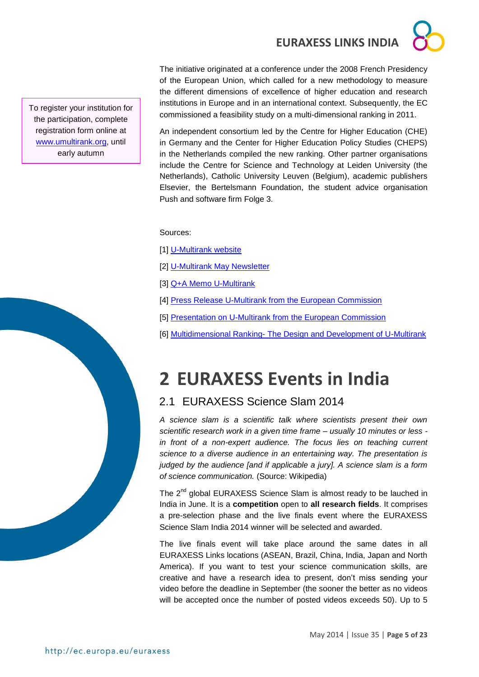The initiative originated at a conference under the 2008 French Presidency of the European Union, which called for a new methodology to measure the different dimensions of excellence of higher education and research institutions in Europe and in an international context. Subsequently, the EC commissioned a feasibility study on a multi-dimensional ranking in 2011.

An independent consortium led by the Centre for Higher Education (CHE) in Germany and the Center for Higher Education Policy Studies (CHEPS) in the Netherlands compiled the new ranking. Other partner organisations include the Centre for Science and Technology at Leiden University (the Netherlands), Catholic University Leuven (Belgium), academic publishers Elsevier, the Bertelsmann Foundation, the student advice organisation Push and software firm Folge 3.

Sources:

[1] [U-Multirank website](http://www.umultirank.org/#!/home?trackType=home)

[2] [U-Multirank May Newsletter](http://meta.umultirank.org/fileadmin/downloads/May2014_UMR_Newsletter.pdf)

[3] [Q+A Memo U-Multirank](http://meta.umultirank.org/fileadmin/downloads/QandA_MemoUMR.pdf)

[4] [Press Release U-Multirank from the European Commission](http://europa.eu/rapid/press-release_IP-14-548_en.htm)

[5] [Presentation on U-Multirank from the European Commission](http://meta.umultirank.org/fileadmin/downloads/U-Multiranklaunch13May2014_final.pdf)

[6] Multidimensional Ranking- [The Design and Development of U-Multirank](http://link.springer.com/book/10.1007/978-94-007-3005-2/page/1)

## <span id="page-4-0"></span>**2 EURAXESS Events in India**

## <span id="page-4-1"></span>2.1 EURAXESS Science Slam 2014

*A science slam is a scientific talk where scientists present their own scientific research work in a given time frame – usually 10 minutes or less in front of a non-expert audience. The focus lies on teaching current science to a diverse audience in an entertaining way. The presentation is judged by the audience [and if applicable a jury]. A science slam is a form of science communication.* (Source: Wikipedia)

The  $2^{nd}$  global EURAXESS Science Slam is almost ready to be lauched in India in June. It is a **competition** open to **all research fields**. It comprises a pre-selection phase and the live finals event where the EURAXESS Science Slam India 2014 winner will be selected and awarded.

The live finals event will take place around the same dates in all EURAXESS Links locations (ASEAN, Brazil, China, India, Japan and North America). If you want to test your science communication skills, are creative and have a research idea to present, don't miss sending your video before the deadline in September (the sooner the better as no videos will be accepted once the number of posted videos exceeds 50). Up to 5

To register your institution for the participation, complete registration form online at [www.umultirank.org,](http://www.umultirank.org/) until early autumn

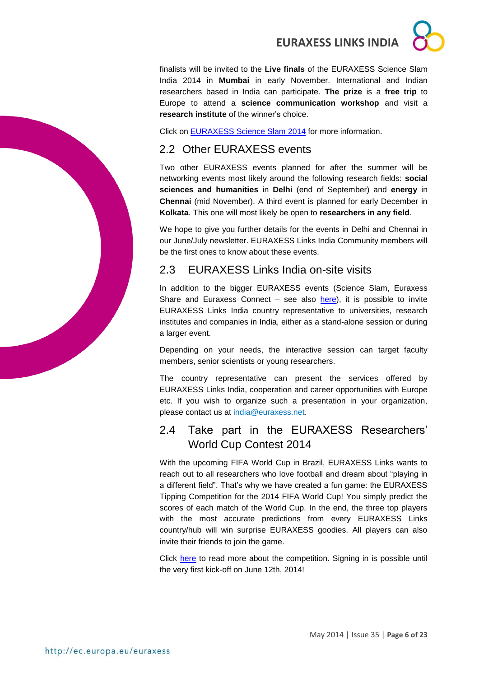finalists will be invited to the **Live finals** of the EURAXESS Science Slam India 2014 in **Mumbai** in early November. International and Indian researchers based in India can participate. **The prize** is a **free trip** to Europe to attend a **science communication workshop** and visit a **research institute** of the winner's choice.

Click on [EURAXESS Science Slam](http://ec.europa.eu/euraxess/index.cfm/links/scienceslam) 2014 for more information.

## <span id="page-5-0"></span>2.2 Other EURAXESS events

Two other EURAXESS events planned for after the summer will be networking events most likely around the following research fields: **social sciences and humanities** in **Delhi** (end of September) and **energy** in **Chennai** (mid November). A third event is planned for early December in **Kolkata***.* This one will most likely be open to **researchers in any field**.

We hope to give you further details for the events in Delhi and Chennai in our June/July newsletter. EURAXESS Links India Community members will be the first ones to know about these events.

## <span id="page-5-1"></span>2.3 EURAXESS Links India on-site visits

In addition to the bigger EURAXESS events (Science Slam, Euraxess Share and Euraxess Connect  $-$  see also [here\)](http://ec.europa.eu/euraxess/index.cfm/links/events/india), it is possible to invite EURAXESS Links India country representative to universities, research institutes and companies in India, either as a stand-alone session or during a larger event.

Depending on your needs, the interactive session can target faculty members, senior scientists or young researchers.

The country representative can present the services offered by EURAXESS Links India, cooperation and career opportunities with Europe etc. If you wish to organize such a presentation in your organization, please contact us at india@euraxess.net.

## <span id="page-5-2"></span>2.4 Take part in the EURAXESS Researchers' World Cup Contest 2014

With the upcoming FIFA World Cup in Brazil, EURAXESS Links wants to reach out to all researchers who love football and dream about "playing in a different field". That's why we have created a fun game: the EURAXESS Tipping Competition for the 2014 FIFA World Cup! You simply predict the scores of each match of the World Cup. In the end, the three top players with the most accurate predictions from every EURAXESS Links country/hub will win surprise EURAXESS goodies. All players can also invite their friends to join the game.

Click [here](http://ec.europa.eu/euraxess/index.cfm/links/kicktipp) to read more about the competition. Signing in is possible until the very first kick-off on June 12th, 2014!

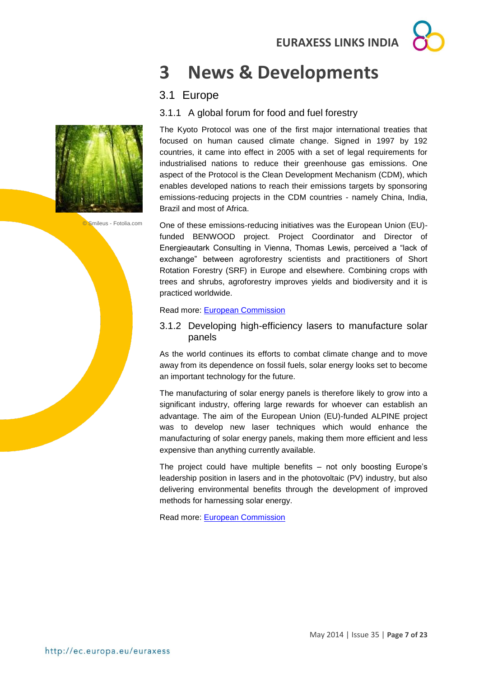

## <span id="page-6-0"></span>**3 News & Developments**

## <span id="page-6-1"></span>3.1 Europe

### <span id="page-6-2"></span>3.1.1 A global forum for food and fuel forestry

The Kyoto Protocol was one of the first major international treaties that focused on human caused climate change. Signed in 1997 by 192 countries, it came into effect in 2005 with a set of legal requirements for industrialised nations to reduce their greenhouse gas emissions. One aspect of the Protocol is the Clean Development Mechanism (CDM), which enables developed nations to reach their emissions targets by sponsoring emissions-reducing projects in the CDM countries - namely China, India, Brazil and most of Africa.

© Smileus - Fotolia.com

One of these emissions-reducing initiatives was the European Union (EU) funded BENWOOD project. Project Coordinator and Director of Energieautark Consulting in Vienna, Thomas Lewis, perceived a "lack of exchange" between agroforestry scientists and practitioners of Short Rotation Forestry (SRF) in Europe and elsewhere. Combining crops with trees and shrubs, agroforestry improves yields and biodiversity and it is practiced worldwide.

#### Read more: [European Commission](http://ec.europa.eu/research/infocentre/article_en.cfm?id=/research/star/index_en.cfm?p=ss-140512benwood&calledby=infocentre&item=Infocentre&artid=32078)

#### <span id="page-6-3"></span>3.1.2 Developing high-efficiency lasers to manufacture solar panels

As the world continues its efforts to combat climate change and to move away from its dependence on fossil fuels, solar energy looks set to become an important technology for the future.

The manufacturing of solar energy panels is therefore likely to grow into a significant industry, offering large rewards for whoever can establish an advantage. The aim of the European Union (EU)-funded ALPINE project was to develop new laser techniques which would enhance the manufacturing of solar energy panels, making them more efficient and less expensive than anything currently available.

The project could have multiple benefits – not only boosting Europe's leadership position in lasers and in the photovoltaic (PV) industry, but also delivering environmental benefits through the development of improved methods for harnessing solar energy.

Read more: [European Commission](http://ec.europa.eu/research/infocentre/article_en.cfm?id=/research/star/index_en.cfm?p=ss-140508alpine&calledby=infocentre&item=Infocentre&artid=32064)

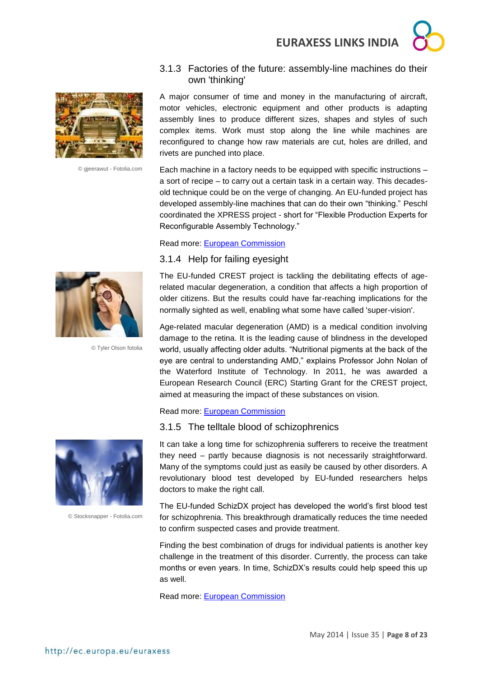



© gjeerawut - Fotolia.com

#### <span id="page-7-0"></span>3.1.3 Factories of the future: assembly-line machines do their own 'thinking'

A major consumer of time and money in the manufacturing of aircraft, motor vehicles, electronic equipment and other products is adapting assembly lines to produce different sizes, shapes and styles of such complex items. Work must stop along the line while machines are reconfigured to change how raw materials are cut, holes are drilled, and rivets are punched into place.

Each machine in a factory needs to be equipped with specific instructions – a sort of recipe – to carry out a certain task in a certain way. This decadesold technique could be on the verge of changing. An EU-funded project has developed assembly-line machines that can do their own "thinking." Peschl coordinated the XPRESS project - short for "Flexible Production Experts for Reconfigurable Assembly Technology."

#### Read more: [European Commission](http://ec.europa.eu/research/infocentre/article_en.cfm?id=/research/star/index_en.cfm?p=ss-140520xpress&calledby=infocentre&item=Science%20in%20society&artid=32101&caller=other)

#### <span id="page-7-1"></span>3.1.4 Help for failing eyesight



Age-related macular degeneration (AMD) is a medical condition involving damage to the retina. It is the leading cause of blindness in the developed world, usually affecting older adults. "Nutritional pigments at the back of the eye are central to understanding AMD," explains Professor John Nolan of the Waterford Institute of Technology. In 2011, he was awarded a European Research Council (ERC) Starting Grant for the CREST project, aimed at measuring the impact of these substances on vision.

#### Read more: [European Commission](http://ec.europa.eu/research/infocentre/article_en.cfm?id=/research/headlines/news/article_14_05_19_en.html?infocentre&item=Infocentre&artid=32096)

#### <span id="page-7-2"></span>3.1.5 The telltale blood of schizophrenics

It can take a long time for schizophrenia sufferers to receive the treatment they need – partly because diagnosis is not necessarily straightforward. Many of the symptoms could just as easily be caused by other disorders. A revolutionary blood test developed by EU-funded researchers helps doctors to make the right call.

The EU-funded SchizDX project has developed the world's first blood test for schizophrenia. This breakthrough dramatically reduces the time needed to confirm suspected cases and provide treatment.

Finding the best combination of drugs for individual patients is another key challenge in the treatment of this disorder. Currently, the process can take months or even years. In time, SchizDX's results could help speed this up as well.

Read more: [European Commission](http://ec.europa.eu/research/infocentre/article_en.cfm?id=/research/star/index_en.cfm?p=ss-140516schizdx&calledby=infocentre&item=Infocentre&artid=32094)



© Tyler Olson fotolia



© Stocksnapper - Fotolia.com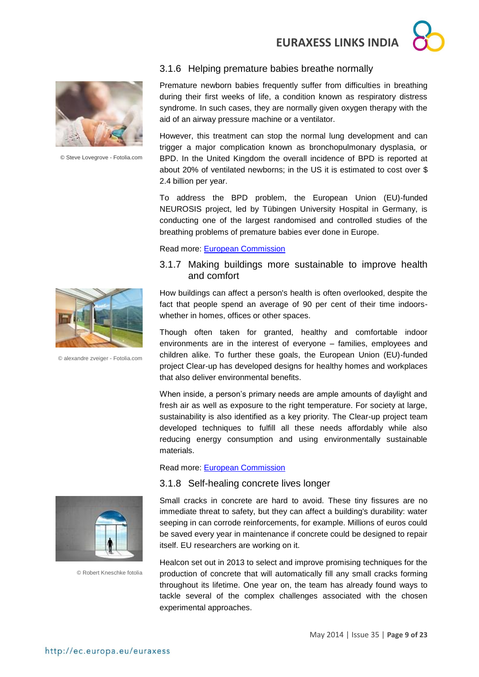



© Steve Lovegrove - Fotolia.com

#### Premature newborn babies frequently suffer from difficulties in breathing during their first weeks of life, a condition known as respiratory distress syndrome. In such cases, they are normally given oxygen therapy with the

However, this treatment can stop the normal lung development and can trigger a major complication known as bronchopulmonary dysplasia, or BPD. In the United Kingdom the overall incidence of BPD is reported at about 20% of ventilated newborns; in the US it is estimated to cost over \$ 2.4 billion per year.

<span id="page-8-0"></span>3.1.6 Helping premature babies breathe normally

aid of an airway pressure machine or a ventilator.

To address the BPD problem, the European Union (EU)-funded NEUROSIS project, led by Tübingen University Hospital in Germany, is conducting one of the largest randomised and controlled studies of the breathing problems of premature babies ever done in Europe.

#### Read more: [European Commission](http://ec.europa.eu/research/infocentre/article_en.cfm?id=/research/star/index_en.cfm?p=ss-140520neurosis&calledby=infocentre&item=All&artid=32102&caller=SuccessStories)

#### <span id="page-8-1"></span>3.1.7 Making buildings more sustainable to improve health and comfort

How buildings can affect a person's health is often overlooked, despite the fact that people spend an average of 90 per cent of their time indoorswhether in homes, offices or other spaces.

Though often taken for granted, healthy and comfortable indoor environments are in the interest of everyone – families, employees and children alike. To further these goals, the European Union (EU)-funded project Clear-up has developed designs for healthy homes and workplaces that also deliver environmental benefits.

When inside, a person's primary needs are ample amounts of daylight and fresh air as well as exposure to the right temperature. For society at large, sustainability is also identified as a key priority. The Clear-up project team developed techniques to fulfill all these needs affordably while also reducing energy consumption and using environmentally sustainable materials.

Read more: [European Commission](http://ec.europa.eu/research/infocentre/article_en.cfm?id=/research/star/index_en.cfm?p=ss-140513clearup&calledby=infocentre&item=Infocentre&artid=32084)

#### <span id="page-8-2"></span>3.1.8 Self-healing concrete lives longer



© Robert Kneschke fotolia

Small cracks in concrete are hard to avoid. These tiny fissures are no immediate threat to safety, but they can affect a building's durability: water seeping in can corrode reinforcements, for example. Millions of euros could be saved every year in maintenance if concrete could be designed to repair itself. EU researchers are working on it.

Healcon set out in 2013 to select and improve promising techniques for the production of concrete that will automatically fill any small cracks forming throughout its lifetime. One year on, the team has already found ways to tackle several of the complex challenges associated with the chosen experimental approaches.



© alexandre zveiger - Fotolia.com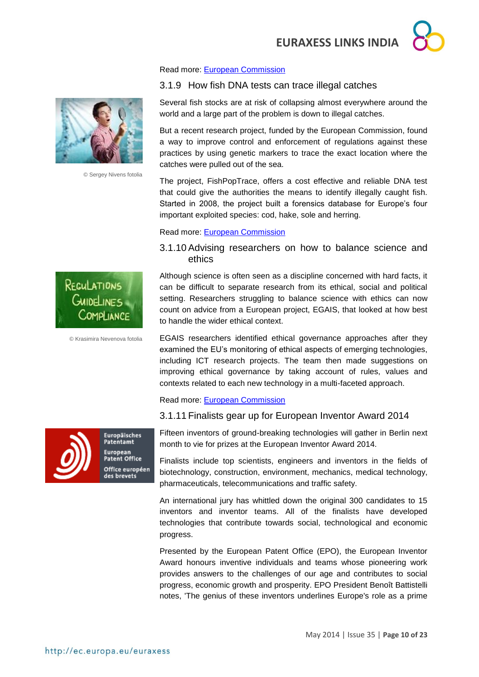#### Read more: [European Commission](http://ec.europa.eu/research/infocentre/article_en.cfm?id=/research/headlines/news/article_14_05_20_en.html?infocentre&item=Infocentre&artid=32099)

#### <span id="page-9-0"></span>3.1.9 How fish DNA tests can trace illegal catches

Several fish stocks are at risk of collapsing almost everywhere around the world and a large part of the problem is down to illegal catches.

But a recent research project, funded by the European Commission, found a way to improve control and enforcement of regulations against these practices by using genetic markers to trace the exact location where the catches were pulled out of the sea.

The project, FishPopTrace, offers a cost effective and reliable DNA test that could give the authorities the means to identify illegally caught fish. Started in 2008, the project built a forensics database for Europe's four important exploited species: cod, hake, sole and herring.

#### Read more: [European Commission](http://ec.europa.eu/research/infocentre/article_en.cfm?id=/research/headlines/news/article_14_05_05_en.html?infocentre&item=Infocentre&artid=32056)

#### <span id="page-9-1"></span>3.1.10 Advising researchers on how to balance science and ethics

Although science is often seen as a discipline concerned with hard facts, it can be difficult to separate research from its ethical, social and political setting. Researchers struggling to balance science with ethics can now count on advice from a European project, EGAIS, that looked at how best to handle the wider ethical context.

EGAIS researchers identified ethical governance approaches after they examined the EU's monitoring of ethical aspects of emerging technologies, including ICT research projects. The team then made suggestions on improving ethical governance by taking account of rules, values and contexts related to each new technology in a multi-faceted approach.

#### Read more: [European Commission](http://ec.europa.eu/research/infocentre/article_en.cfm?id=/research/headlines/news/article_14_04_28_en.html?infocentre&item=Infocentre&artid=32016)

#### <span id="page-9-2"></span>3.1.11 Finalists gear up for European Inventor Award 2014

Fifteen inventors of ground-breaking technologies will gather in Berlin next month to vie for prizes at the European Inventor Award 2014.

Finalists include top scientists, engineers and inventors in the fields of biotechnology, construction, environment, mechanics, medical technology, pharmaceuticals, telecommunications and traffic safety.

An international jury has whittled down the original 300 candidates to 15 inventors and inventor teams. All of the finalists have developed technologies that contribute towards social, technological and economic progress.

Presented by the European Patent Office (EPO), the European Inventor Award honours inventive individuals and teams whose pioneering work provides answers to the challenges of our age and contributes to social progress, economic growth and prosperity. EPO President Benoît Battistelli notes, 'The genius of these inventors underlines Europe's role as a prime



© Sergey Nivens fotolia



OMPLIANCE

REGULATIONS GUIDELINES



Europäisches Patentamt European Patent Office Office européen des brevets

May 2014 | Issue 35 | **Page 10 of 23**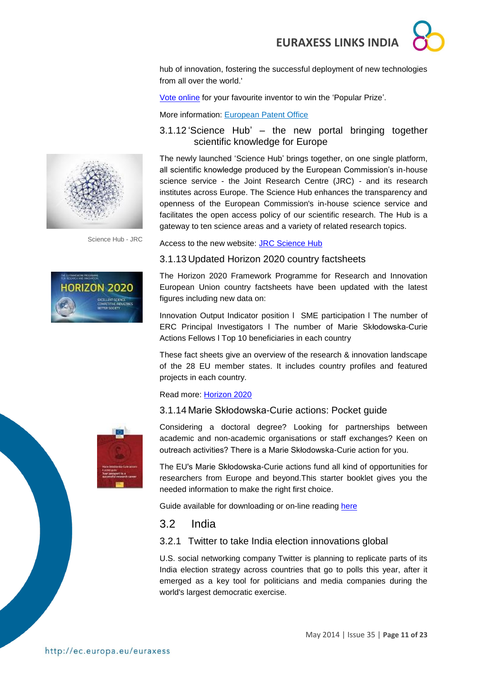hub of innovation, fostering the successful deployment of new technologies from all over the world.'

[Vote online](http://www.epo.org/learning-events/european-inventor/popular-prize.html) for your favourite inventor to win the 'Popular Prize'.

More information: [European Patent Office](http://www.epo.org/)

#### <span id="page-10-0"></span>3.1.12 'Science Hub' – the new portal bringing together scientific knowledge for Europe

The newly launched 'Science Hub' brings together, on one single platform, all scientific knowledge produced by the European Commission's in-house science service - the Joint Research Centre (JRC) - and its research institutes across Europe. The Science Hub enhances the transparency and openness of the European Commission's in-house science service and facilitates the open access policy of our scientific research. The Hub is a gateway to ten science areas and a variety of related research topics.

Science Hub - JRC



Access to the new website: JRC [Science Hub](https://ec.europa.eu/jrc/)

#### <span id="page-10-1"></span>3.1.13 Updated Horizon 2020 country factsheets

The Horizon 2020 Framework Programme for Research and Innovation European Union country factsheets have been updated with the latest figures including new data on:

Innovation Output Indicator position l SME participation l The number of ERC Principal Investigators l The number of Marie Skłodowska-Curie Actions Fellows l Top 10 beneficiaries in each country

These fact sheets give an overview of the research & innovation landscape of the 28 EU member states. It includes country profiles and featured projects in each country.

#### Read more: [Horizon 2020](http://ec.europa.eu/research/horizon2020/index_en.cfm?pg=country-profiles)

#### <span id="page-10-2"></span>3.1.14 Marie Skłodowska-Curie actions: Pocket guide



Considering a doctoral degree? Looking for partnerships between academic and non-academic organisations or staff exchanges? Keen on outreach activities? There is a Marie Skłodowska-Curie action for you.

The EU's Marie Skłodowska-Curie actions fund all kind of opportunities for researchers from Europe and beyond.This starter booklet gives you the needed information to make the right first choice.

Guide available for downloading or on-line reading [here](../../../../../../../../../../Axel/Downloads/MarieSkodowska-CurieactionsPocketguide%20(1).pdf)

### <span id="page-10-3"></span>3.2 India

#### <span id="page-10-4"></span>3.2.1 Twitter to take India election innovations global

U.S. social networking company Twitter is planning to replicate parts of its India election strategy across countries that go to polls this year, after it emerged as a key tool for politicians and media companies during the world's largest democratic exercise.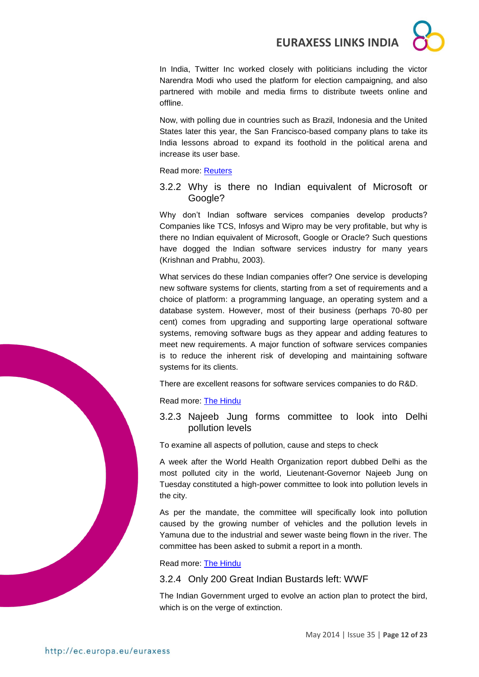In India, Twitter Inc worked closely with politicians including the victor Narendra Modi who used the platform for election campaigning, and also partnered with mobile and media firms to distribute tweets online and offline.

Now, with polling due in countries such as Brazil, Indonesia and the United States later this year, the San Francisco-based company plans to take its India lessons abroad to expand its foothold in the political arena and increase its user base.

Read more: [Reuters](http://www.reuters.com/article/2014/05/24/us-india-election-twitter-idUSBREA4N02S20140524?feedType=RSS&feedName=technologyNews)

<span id="page-11-0"></span>3.2.2 Why is there no Indian equivalent of Microsoft or Google?

Why don't Indian software services companies develop products? Companies like TCS, Infosys and Wipro may be very profitable, but why is there no Indian equivalent of Microsoft, Google or Oracle? Such questions have dogged the Indian software services industry for many years (Krishnan and Prabhu, 2003).

What services do these Indian companies offer? One service is developing new software systems for clients, starting from a set of requirements and a choice of platform: a programming language, an operating system and a database system. However, most of their business (perhaps 70-80 per cent) comes from upgrading and supporting large operational software systems, removing software bugs as they appear and adding features to meet new requirements. A major function of software services companies is to reduce the inherent risk of developing and maintaining software systems for its clients.

There are excellent reasons for software services companies to do R&D.

Read more: [The Hindu](http://www.thehindu.com/sci-tech/technology/why-is-there-no-indian-equivalent-of-microsoft-or-google/article6009274.ece?homepage=true)

<span id="page-11-1"></span>3.2.3 Najeeb Jung forms committee to look into Delhi pollution levels

To examine all aspects of pollution, cause and steps to check

A week after the World Health Organization report dubbed Delhi as the most polluted city in the world, Lieutenant-Governor Najeeb Jung on Tuesday constituted a high-power committee to look into pollution levels in the city.

As per the mandate, the committee will specifically look into pollution caused by the growing number of vehicles and the pollution levels in Yamuna due to the industrial and sewer waste being flown in the river. The committee has been asked to submit a report in a month.

Read more: [The Hindu](http://www.thehindu.com/news/cities/Delhi/najeeb-jung-forms-committee-to-look-into-delhi-pollution-levels/article6007944.ece?utm_source=RSS_Feed&utm_medium=RSS&utm_campaign=RSS_Syndication)

<span id="page-11-2"></span>3.2.4 Only 200 Great Indian Bustards left: WWF

The Indian Government urged to evolve an action plan to protect the bird, which is on the verge of extinction.

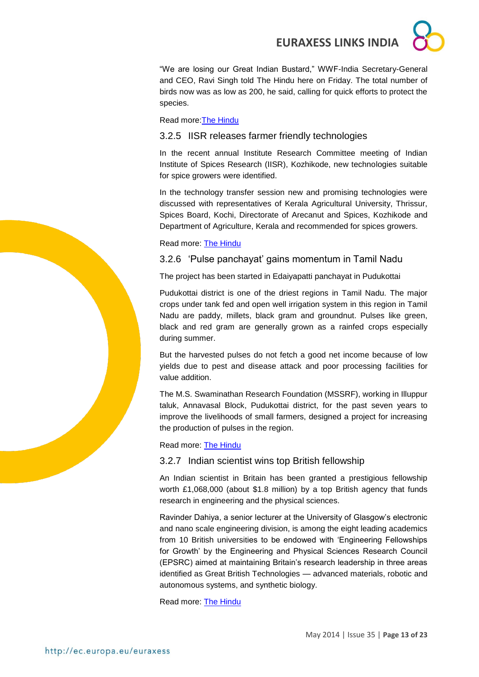"We are losing our Great Indian Bustard," WWF-India Secretary-General and CEO, Ravi Singh told The Hindu here on Friday. The total number of birds now was as low as 200, he said, calling for quick efforts to protect the species.

Read more[:The Hindu](http://www.thehindu.com/sci-tech/only-200-great-indian-bustards-left-wwf/article6041782.ece?utm_source=RSS_Feed&utm_medium=RSS&utm_campaign=RSS_Syndication)

#### <span id="page-12-0"></span>3.2.5 IISR releases farmer friendly technologies

In the recent annual Institute Research Committee meeting of Indian Institute of Spices Research (IISR), Kozhikode, new technologies suitable for spice growers were identified.

In the technology transfer session new and promising technologies were discussed with representatives of Kerala Agricultural University, Thrissur, Spices Board, Kochi, Directorate of Arecanut and Spices, Kozhikode and Department of Agriculture, Kerala and recommended for spices growers.

Read more: [The Hindu](../../../../../Downloads/In%20the%20recent%20annual%20Institute%20Research%20Committee%20meeting%20of%20Indian%20Institute%20of%20Spices%20Research%20(IISR),%20Kozhikode,%20new%20technologies%20suitable%20for%20spice%20growers%20were%20identified.)

#### <span id="page-12-1"></span>3.2.6 'Pulse panchayat' gains momentum in Tamil Nadu

The project has been started in Edaiyapatti panchayat in Pudukottai

Pudukottai district is one of the driest regions in Tamil Nadu. The major crops under tank fed and open well irrigation system in this region in Tamil Nadu are paddy, millets, black gram and groundnut. Pulses like green, black and red gram are generally grown as a rainfed crops especially during summer.

But the harvested pulses do not fetch a good net income because of low yields due to pest and disease attack and poor processing facilities for value addition.

The M.S. Swaminathan Research Foundation (MSSRF), working in Illuppur taluk, Annavasal Block, Pudukottai district, for the past seven years to improve the livelihoods of small farmers, designed a project for increasing the production of pulses in the region.

Read more: [The Hindu](http://www.thehindu.com/sci-tech/agriculture/pulse-panchayat-gains-momentum-in-tamil-nadu/article6033850.ece?utm_source=RSS_Feed&utm_medium=RSS&utm_campaign=RSS_Syndication)

#### <span id="page-12-2"></span>3.2.7 Indian scientist wins top British fellowship

An Indian scientist in Britain has been granted a prestigious fellowship worth £1,068,000 (about \$1.8 million) by a top British agency that funds research in engineering and the physical sciences.

Ravinder Dahiya, a senior lecturer at the University of Glasgow's electronic and nano scale engineering division, is among the eight leading academics from 10 British universities to be endowed with 'Engineering Fellowships for Growth' by the Engineering and Physical Sciences Research Council (EPSRC) aimed at maintaining Britain's research leadership in three areas identified as Great British Technologies — advanced materials, robotic and autonomous systems, and synthetic biology.

Read more: [The Hindu](http://www.thehindu.com/sci-tech/science/indian-scientist-wins-top-british-fellowship/article5973329.ece?utm_source=RSS_Feed&utm_medium=RSS&utm_campaign=RSS_Syndication)

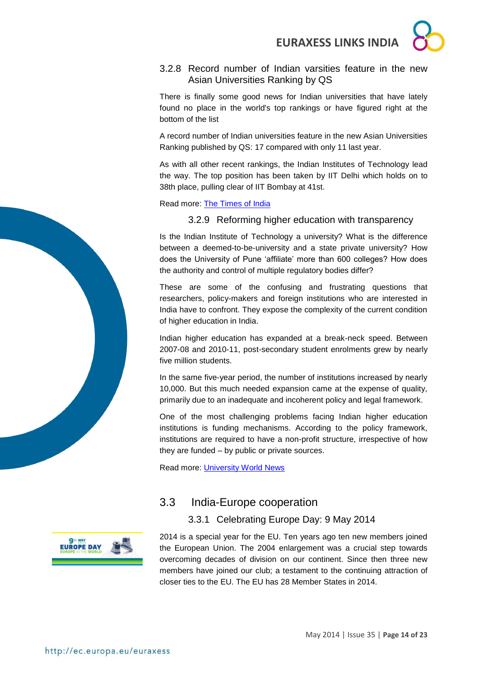### <span id="page-13-0"></span>3.2.8 Record number of Indian varsities feature in the new Asian Universities Ranking by QS

There is finally some good news for Indian universities that have lately found no place in the world's top rankings or have figured right at the bottom of the list

A record number of Indian universities feature in the new Asian Universities Ranking published by QS: 17 compared with only 11 last year.

As with all other recent rankings, the Indian Institutes of Technology lead the way. The top position has been taken by IIT Delhi which holds on to 38th place, pulling clear of IIT Bombay at 41st.

<span id="page-13-1"></span>Read more: [The Times of India](http://timesofindia.indiatimes.com/home/education/news/Record-number-of-Indian-varsities-feature-in-the-new-Asian-Universities-Ranking-by-QS/articleshow/35075939.cms)

### 3.2.9 Reforming higher education with transparency

Is the Indian Institute of Technology a university? What is the difference between a deemed-to-be-university and a state private university? How does the University of Pune 'affiliate' more than 600 colleges? How does the authority and control of multiple regulatory bodies differ?

These are some of the confusing and frustrating questions that researchers, policy-makers and foreign institutions who are interested in India have to confront. They expose the complexity of the current condition of higher education in India.

Indian higher education has expanded at a break-neck speed. Between 2007-08 and 2010-11, post-secondary student enrolments grew by nearly five million students.

In the same five-year period, the number of institutions increased by nearly 10,000. But this much needed expansion came at the expense of quality, primarily due to an inadequate and incoherent policy and legal framework.

One of the most challenging problems facing Indian higher education institutions is funding mechanisms. According to the policy framework, institutions are required to have a non-profit structure, irrespective of how they are funded – by public or private sources.

Read more: [University World News](http://www.universityworldnews.com/article.php?story=20140522105636511)

## 3.3 India-Europe cooperation

### <span id="page-13-2"></span>3.3.1 Celebrating Europe Day: 9 May 2014

**EUROPE DAY** 

<span id="page-13-3"></span>2014 is a special year for the EU. Ten years ago ten new members joined the European Union. The 2004 enlargement was a crucial step towards overcoming decades of division on our continent. Since then three new members have joined our club; a testament to the continuing attraction of closer ties to the EU. The EU has 28 Member States in 2014.

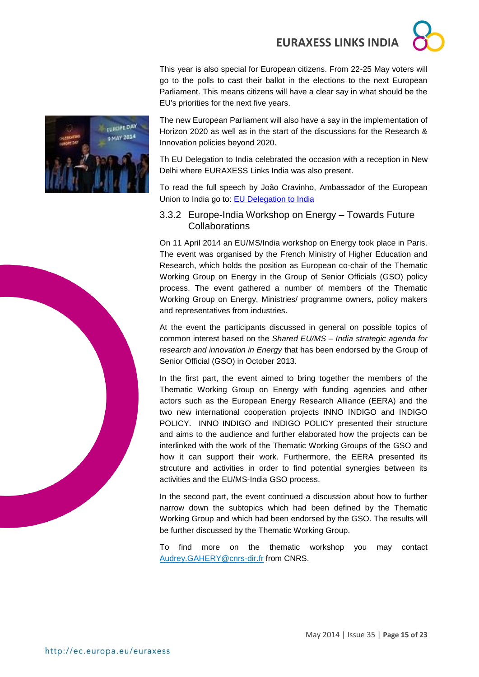This year is also special for European citizens. From 22-25 May voters will go to the polls to cast their ballot in the elections to the next European Parliament. This means citizens will have a clear say in what should be the EU's priorities for the next five years.

The new European Parliament will also have a say in the implementation of Horizon 2020 as well as in the start of the discussions for the Research & Innovation policies beyond 2020.

Th EU Delegation to India celebrated the occasion with a reception in New Delhi where EURAXESS Links India was also present.

To read the full speech by João Cravinho, Ambassador of the European Union to India go to: [EU Delegation to India](http://euindiaenewsletter.com/Vol_3_April_2014/europe_day.html)

#### <span id="page-14-0"></span>3.3.2 Europe-India Workshop on Energy – Towards Future **Collaborations**

On 11 April 2014 an EU/MS/India workshop on Energy took place in Paris. The event was organised by the French Ministry of Higher Education and Research, which holds the position as European co-chair of the Thematic Working Group on Energy in the Group of Senior Officials (GSO) policy process. The event gathered a number of members of the Thematic Working Group on Energy, Ministries/ programme owners, policy makers and representatives from industries.

At the event the participants discussed in general on possible topics of common interest based on the *Shared EU/MS – India strategic agenda for research and innovation in Energy* that has been endorsed by the Group of Senior Official (GSO) in October 2013.

In the first part, the event aimed to bring together the members of the Thematic Working Group on Energy with funding agencies and other actors such as the European Energy Research Alliance (EERA) and the two new international cooperation projects INNO INDIGO and INDIGO POLICY. INNO INDIGO and INDIGO POLICY presented their structure and aims to the audience and further elaborated how the projects can be interlinked with the work of the Thematic Working Groups of the GSO and how it can support their work. Furthermore, the EERA presented its strcuture and activities in order to find potential synergies between its activities and the EU/MS-India GSO process.

In the second part, the event continued a discussion about how to further narrow down the subtopics which had been defined by the Thematic Working Group and which had been endorsed by the GSO. The results will be further discussed by the Thematic Working Group.

To find more on the thematic workshop you may contact [Audrey.GAHERY@cnrs-dir.fr](mailto:Audrey.GAHERY@cnrs-dir.fr) from CNRS.



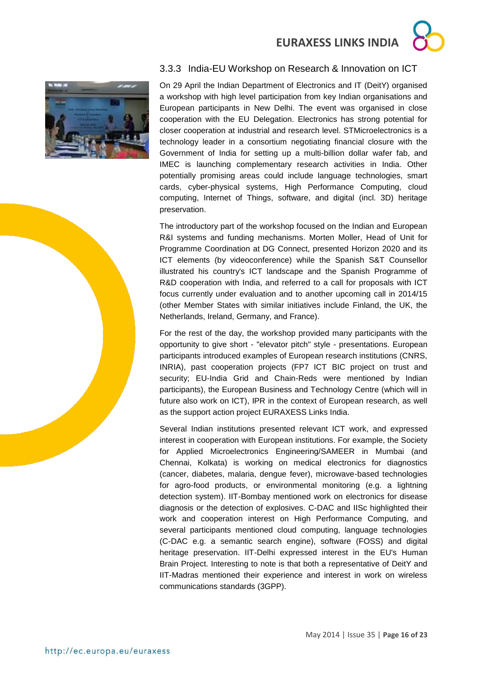### <span id="page-15-0"></span>3.3.3 India-EU Workshop on Research & Innovation on ICT



On 29 April the Indian Department of Electronics and IT (DeitY) organised a workshop with high level participation from key Indian organisations and European participants in New Delhi. The event was organised in close cooperation with the EU Delegation. Electronics has strong potential for closer cooperation at industrial and research level. STMicroelectronics is a technology leader in a consortium negotiating financial closure with the Government of India for setting up a multi-billion dollar wafer fab, and IMEC is launching complementary research activities in India. Other potentially promising areas could include language technologies, smart cards, cyber-physical systems, High Performance Computing, cloud computing, Internet of Things, software, and digital (incl. 3D) heritage preservation.

The introductory part of the workshop focused on the Indian and European R&I systems and funding mechanisms. Morten Moller, Head of Unit for Programme Coordination at DG Connect, presented Horizon 2020 and its ICT elements (by videoconference) while the Spanish S&T Counsellor illustrated his country's ICT landscape and the Spanish Programme of R&D cooperation with India, and referred to a call for proposals with ICT focus currently under evaluation and to another upcoming call in 2014/15 (other Member States with similar initiatives include Finland, the UK, the Netherlands, Ireland, Germany, and France).

For the rest of the day, the workshop provided many participants with the opportunity to give short - "elevator pitch" style - presentations. European participants introduced examples of European research institutions (CNRS, INRIA), past cooperation projects (FP7 ICT BIC project on trust and security; EU-India Grid and Chain-Reds were mentioned by Indian participants), the European Business and Technology Centre (which will in future also work on ICT), IPR in the context of European research, as well as the support action project EURAXESS Links India.

Several Indian institutions presented relevant ICT work, and expressed interest in cooperation with European institutions. For example, the Society for Applied Microelectronics Engineering/SAMEER in Mumbai (and Chennai, Kolkata) is working on medical electronics for diagnostics (cancer, diabetes, malaria, dengue fever), microwave-based technologies for agro-food products, or environmental monitoring (e.g. a lightning detection system). IIT-Bombay mentioned work on electronics for disease diagnosis or the detection of explosives. C-DAC and IISc highlighted their work and cooperation interest on High Performance Computing, and several participants mentioned cloud computing, language technologies (C-DAC e.g. a semantic search engine), software (FOSS) and digital heritage preservation. IIT-Delhi expressed interest in the EU's Human Brain Project. Interesting to note is that both a representative of DeitY and IIT-Madras mentioned their experience and interest in work on wireless communications standards (3GPP).

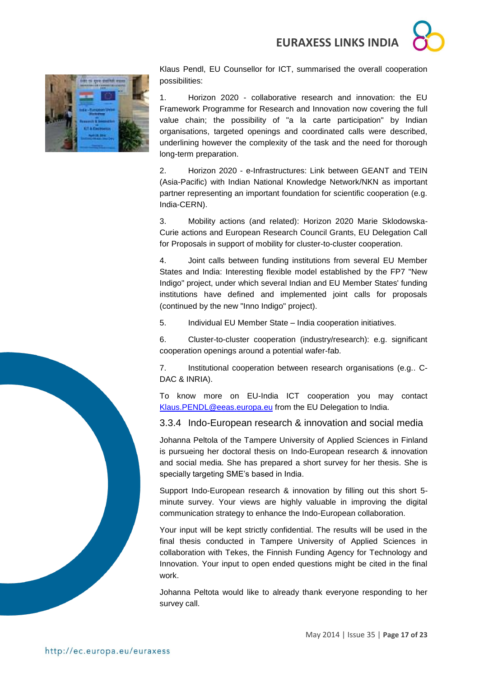

Klaus Pendl, EU Counsellor for ICT, summarised the overall cooperation possibilities:

1. Horizon 2020 - collaborative research and innovation: the EU Framework Programme for Research and Innovation now covering the full value chain; the possibility of "a la carte participation" by Indian organisations, targeted openings and coordinated calls were described, underlining however the complexity of the task and the need for thorough long-term preparation.

2. Horizon 2020 - e-Infrastructures: Link between GEANT and TEIN (Asia-Pacific) with Indian National Knowledge Network/NKN as important partner representing an important foundation for scientific cooperation (e.g. India-CERN).

3. Mobility actions (and related): Horizon 2020 Marie Sklodowska-Curie actions and European Research Council Grants, EU Delegation Call for Proposals in support of mobility for cluster-to-cluster cooperation.

4. Joint calls between funding institutions from several EU Member States and India: Interesting flexible model established by the FP7 "New Indigo" project, under which several Indian and EU Member States' funding institutions have defined and implemented joint calls for proposals (continued by the new "Inno Indigo" project).

5. Individual EU Member State – India cooperation initiatives.

6. Cluster-to-cluster cooperation (industry/research): e.g. significant cooperation openings around a potential wafer-fab.

7. Institutional cooperation between research organisations (e.g.. C-DAC & INRIA).

To know more on EU-India ICT cooperation you may contact [Klaus.PENDL@eeas.europa.eu](mailto:Klaus.PENDL@eeas.europa.eu) from the EU Delegation to India.

<span id="page-16-0"></span>3.3.4 Indo-European research & innovation and social media

Johanna Peltola of the Tampere University of Applied Sciences in Finland is pursueing her doctoral thesis on Indo-European research & innovation and social media. She has prepared a short survey for her thesis. She is specially targeting SME's based in India.

Support Indo-European research & innovation by filling out this short 5 minute survey. Your views are highly valuable in improving the digital communication strategy to enhance the Indo-European collaboration.

Your input will be kept strictly confidential. The results will be used in the final thesis conducted in Tampere University of Applied Sciences in collaboration with Tekes, the Finnish Funding Agency for Technology and Innovation. Your input to open ended questions might be cited in the final work.

Johanna Peltota would like to already thank everyone responding to her survey call.

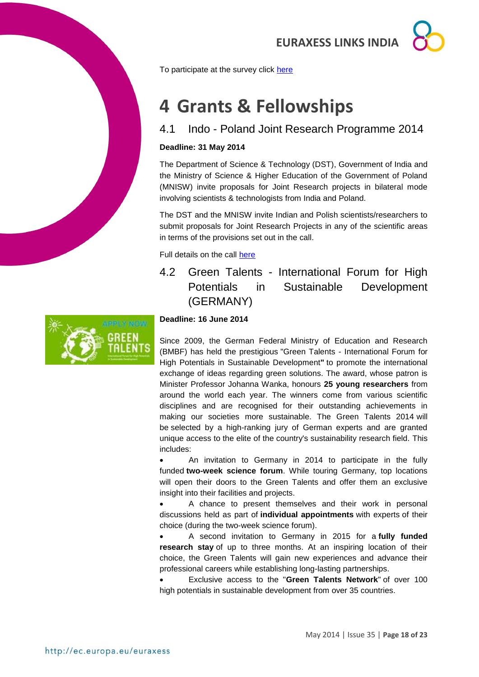

To participate at the survey click [here](http://goo.gl/Q2Ey8K)

## <span id="page-17-0"></span>**4 Grants & Fellowships**

## <span id="page-17-1"></span>4.1 Indo - Poland Joint Research Programme 2014

#### **Deadline: 31 May 2014**

The Department of Science & Technology (DST), Government of India and the Ministry of Science & Higher Education of the Government of Poland (MNISW) invite proposals for Joint Research projects in bilateral mode involving scientists & technologists from India and Poland.

The DST and the MNISW invite Indian and Polish scientists/researchers to submit proposals for Joint Research Projects in any of the scientific areas in terms of the provisions set out in the call.

Full details on the call [here](http://dst.gov.in/whats_new/whats_new14/COP_Poland.pdf)

<span id="page-17-2"></span>4.2 Green Talents - International Forum for High Potentials in Sustainable Development (GERMANY)



#### **Deadline: 16 June 2014**

Since 2009, the German Federal Ministry of Education and Research (BMBF) has held the prestigious "Green Talents - International Forum for High Potentials in Sustainable Development**"** to promote the international exchange of ideas regarding green solutions. The award, whose patron is Minister Professor Johanna Wanka, honours **25 young researchers** from around the world each year. The winners come from various scientific disciplines and are recognised for their outstanding achievements in making our societies more sustainable. The Green Talents 2014 will be selected by a high-ranking jury of German experts and are granted unique access to the elite of the country's sustainability research field. This includes:

 An invitation to Germany in 2014 to participate in the fully funded **[two-week science forum](http://www.greentalents.de/science-forum2014.php)**. While touring Germany, top locations will open their doors to the Green Talents and offer them an exclusive insight into their facilities and projects.

 A chance to present themselves and their work in personal discussions held as part of **[individual appointments](http://www.greentalents.de/about_individual-appointments.php)** with experts of their choice (during the two-week science forum).

 A second invitation to Germany in 2015 for a **[fully funded](http://www.greentalents.de/about_research-stay.php)  [research stay](http://www.greentalents.de/about_research-stay.php)** of up to three months. At an inspiring location of their choice, the Green Talents will gain new experiences and advance their professional careers while establishing long-lasting partnerships.

 Exclusive access to the "**Green Talents Network**" of over 100 high potentials in sustainable development from over 35 countries.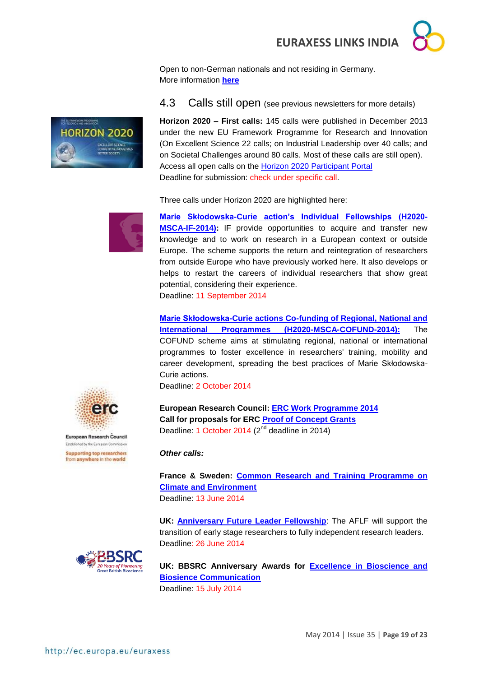Open to non-German nationals and not residing in Germany. More information **[here](http://www.greentalents.de/)**

<span id="page-18-0"></span>4.3 Calls still open (see previous newsletters for more details)



Three calls under Horizon 2020 are highlighted here:



**ELLI RAKOVA PROGRAM** 

**HORIZON 2020** 

**[Marie Skłodowska-Curie action's Individual Fellowships \(H2020-](http://ec.europa.eu/research/participants/portal/desktop/en/opportunities/h2020/calls/h2020-msca-if-2014.html#tab2) [MSCA-IF-2014\):](http://ec.europa.eu/research/participants/portal/desktop/en/opportunities/h2020/calls/h2020-msca-if-2014.html#tab2)** IF provide opportunities to acquire and transfer new knowledge and to work on research in a European context or outside Europe. The scheme supports the return and reintegration of researchers from outside Europe who have previously worked here. It also develops or helps to restart the careers of individual researchers that show great potential, considering their experience.

Deadline: 11 September 2014

**[Marie Skłodowska-Curie actions Co-funding of Regional, National and](http://ec.europa.eu/research/participants/portal/desktop/en/opportunities/h2020/calls/h2020-msca-cofund-2014.html)  [International Programmes \(H2020-MSCA-COFUND-2014\):](http://ec.europa.eu/research/participants/portal/desktop/en/opportunities/h2020/calls/h2020-msca-cofund-2014.html)** The COFUND scheme aims at stimulating regional, national or international programmes to foster excellence in researchers' training, mobility and career development, spreading the best practices of Marie Skłodowska-Curie actions.

Deadline: 2 October 2014

**European Research Council: [ERC Work Programme 2014](http://erc.europa.eu/sites/default/files/document/file/ERC_Work_Programme_2014.pdf) Call for proposals for ERC [Proof of Concept Grants](http://ec.europa.eu/research/participants/portal/desktop/en/opportunities/h2020/topics/56-erc-poc-2014.html)** Deadline: 1 October 2014 (2<sup>nd</sup> deadline in 2014)

#### *Other calls:*

**France & Sweden: [Common Research and Training Programme on](http://www.vr.se/inenglish/researchfunding/applyforgrants/callforproposals/opengrants/frameworkgrantwithinthefrenchswedishcommonresearchandtrainingprogrammeonclimateandenvironment.5.7e727b6e141e9ed702b15209.html)  [Climate and Environment](http://www.vr.se/inenglish/researchfunding/applyforgrants/callforproposals/opengrants/frameworkgrantwithinthefrenchswedishcommonresearchandtrainingprogrammeonclimateandenvironment.5.7e727b6e141e9ed702b15209.html)** Deadline: 13 June 2014

**UK: [Anniversary Future Leader Fellowship](http://www.bbsrc.ac.uk/funding/fellowships/anniversary-future-leader-fellowship.aspx?utm_source=feedburner&utm_medium=feed&utm_campaign=Feed%3A+bbsrcfunding+%28BBSRC+-+Funding+opportunities%29)**: The AFLF will support the transition of early stage researchers to fully independent research leaders. Deadline: 26 June 2014

**UK: BBSRC Anniversary Awards for [Excellence in Bioscience and](http://www.bbsrc.ac.uk/funding/opportunities/2014/anniversary-awards.aspx?utm_source=feedburner&utm_medium=feed&utm_campaign=Feed%3A+bbsrcfunding+%28BBSRC+-+Funding+opportunities%29)  [Biosience Communication](http://www.bbsrc.ac.uk/funding/opportunities/2014/anniversary-awards.aspx?utm_source=feedburner&utm_medium=feed&utm_campaign=Feed%3A+bbsrcfunding+%28BBSRC+-+Funding+opportunities%29)** Deadline: 15 July 2014



European Research Council Established by the European Commission **Supporting top researchers** from anywhere in the world

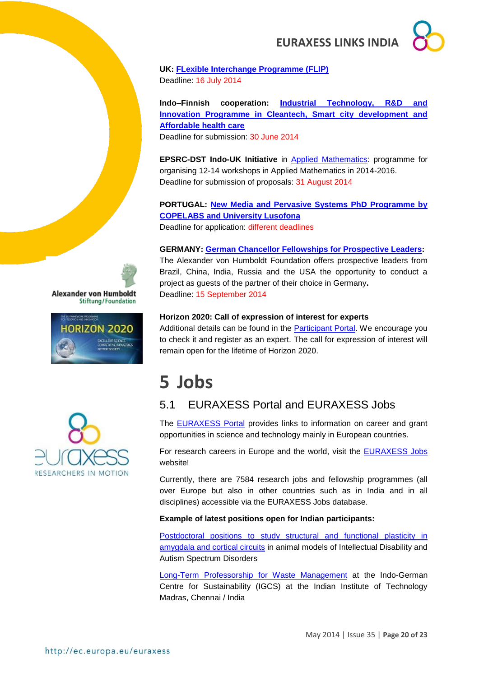

**UK: [FLexible Interchange Programme \(FLIP\)](http://www.bbsrc.ac.uk/business/people-information/flexible-interchange-programme.aspx?utm_source=feedburner&utm_medium=feed&utm_campaign=Feed%3A+bbsrcfunding+%28BBSRC+-+Funding+opportunities%29)** Deadline: 16 July 2014

**Indo–Finnish cooperation: [Industrial Technology, R&D and](http://gita.org.in/funding_country_6.html)  [Innovation Programme in Cleantech, Smart city development and](http://gita.org.in/funding_country_6.html)  [Affordable health care](http://gita.org.in/funding_country_6.html)**

Deadline for submission: 30 June 2014

**EPSRC-DST Indo-UK Initiative** in [Applied Mathematics:](http://www.icms.org.uk/proposals/indo-uk_info) programme for organising 12-14 workshops in Applied Mathematics in 2014-2016. Deadline for submission of proposals: 31 August 2014

**PORTUGAL: [New Media and Pervasive Systems PhD Programme by](http://siti.ulusofona.pt/~nemps/index.php?option=com_content&view=article&id=27&Itemid=151&lang=en)  [COPELABS and University Lusofona](http://siti.ulusofona.pt/~nemps/index.php?option=com_content&view=article&id=27&Itemid=151&lang=en)**

Deadline for application: different deadlines

#### **GERMANY: [German Chancellor Fellowships for Prospective Leaders:](../../../../../../../../../AppData/Roaming/Microsoft/Word/Alexander%20von%20Humboldt%20Foundation%20website)**

The Alexander von Humboldt Foundation offers prospective leaders from Brazil, China, India, Russia and the USA the opportunity to conduct a project as guests of the partner of their choice in Germany**.** Deadline: 15 September 2014

#### **Horizon 2020: Call of expression of interest for experts**

Additional details can be found in the **Participant Portal**. We encourage you to check it and register as an expert. The call for expression of interest will remain open for the lifetime of Horizon 2020.

## <span id="page-19-0"></span>**5 Jobs**

### <span id="page-19-1"></span>5.1 EURAXESS Portal and EURAXESS Jobs

The [EURAXESS Portal](http://ec.europa.eu/euraxess/index.cfm/general/index) provides links to information on career and grant opportunities in science and technology mainly in European countries.

For research careers in Europe and the world, visit the [EURAXESS Jobs](http://ec.europa.eu/euraxess/index.cfm/jobs/jvSearch) website!

Currently, there are 7584 research jobs and fellowship programmes (all over Europe but also in other countries such as in India and in all disciplines) accessible via the EURAXESS Jobs database.

#### **Example of latest positions open for Indian participants:**

Postdoctoral positions to [study structural and functional plasticity in](http://ec.europa.eu/euraxess/index.cfm/jobs/jobDetails/33932030)  [amygdala and cortical circuits](http://ec.europa.eu/euraxess/index.cfm/jobs/jobDetails/33932030) in animal models of Intellectual Disability and Autism Spectrum Disorders

[Long-Term Professorship](http://ec.europa.eu/euraxess/index.cfm/jobs/jobDetails/33931151) for Waste Management at the Indo-German Centre for Sustainability (IGCS) at the Indian Institute of Technology Madras, Chennai / India





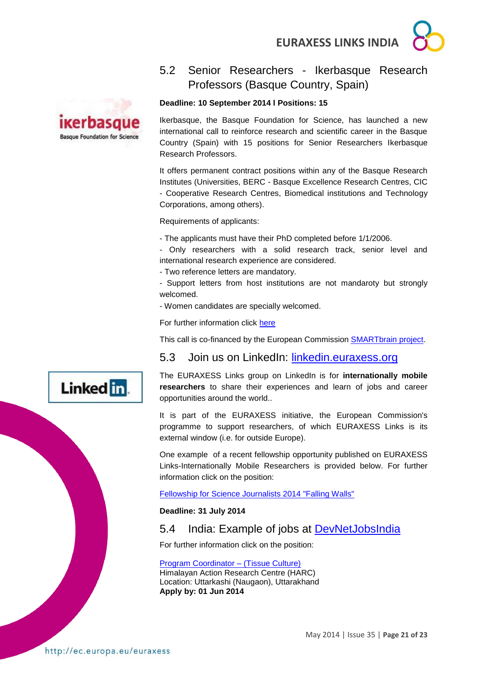

## <span id="page-20-0"></span>5.2 Senior Researchers - Ikerbasque Research Professors (Basque Country, Spain)

## ikerbasque **Basque Foundation for Science**

#### **Deadline: 10 September 2014 l Positions: 15**

Ikerbasque, the Basque Foundation for Science, has launched a new international call to reinforce research and scientific career in the Basque Country (Spain) with 15 positions for Senior Researchers Ikerbasque Research Professors.

It offers permanent contract positions within any of the Basque Research Institutes (Universities, BERC - Basque Excellence Research Centres, CIC - Cooperative Research Centres, Biomedical institutions and Technology Corporations, among others).

Requirements of applicants:

- The applicants must have their PhD completed before 1/1/2006.

- Only researchers with a solid research track, senior level and international research experience are considered.

- Two reference letters are mandatory.

- Support letters from host institutions are not mandaroty but strongly welcomed.

- Women candidates are specially welcomed.

For further information click [here](http://www.ikerbasque.net/)

This call is co-financed by the European Commission [SMARTbrain project.](http://www.ikerbasque.net/index.php?option=com_content&task=view&id=1506&lang=en_EN)

### <span id="page-20-1"></span>5.3 Join us on LinkedIn: [linkedin.euraxess.org](http://www.linkedin.com/groups/EURAXESS-Links-Internationally-Mobile-Researchers-4990889/about)

The EURAXESS Links group on LinkedIn is for **internationally mobile researchers** to share their experiences and learn of jobs and career opportunities around the world..

It is part of the EURAXESS initiative, the European Commission's programme to support researchers, of which EURAXESS Links is its external window (i.e. for outside Europe).

One example of a recent fellowship opportunity published on EURAXESS Links-Internationally Mobile Researchers is provided below. For further information click on the position:

[Fellowship for Science Journalists 2014 "Falling Walls"](http://www.falling-walls.com/fellowships/science-journalists)

**Deadline: 31 July 2014**

### <span id="page-20-2"></span>5.4 India: Example of jobs at [DevNetJobsIndia](http://www.devnetjobsindia.org/)

For further information click on the position:

#### [Program Coordinator –](http://www.devnetjobsindia.org/jobdescription.aspx?job_id=32987) (Tissue Culture) Himalayan Action Research Centre (HARC)

Location: Uttarkashi (Naugaon), Uttarakhand **Apply by: 01 Jun 2014**

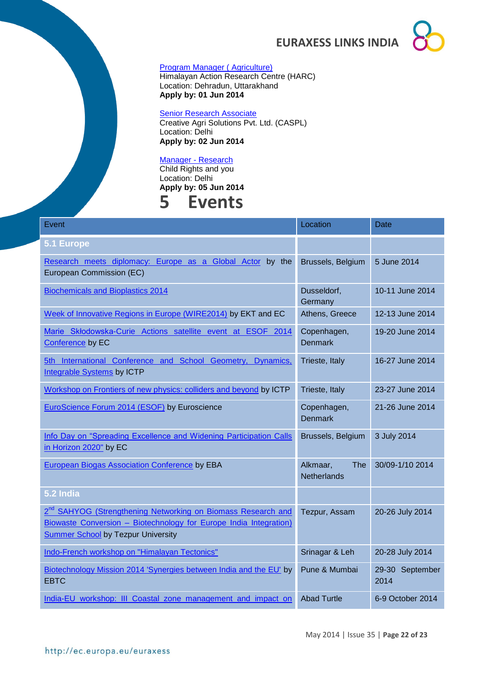

#### [Program Manager \( Agriculture\)](http://www.devnetjobsindia.org/jobdescription.aspx?job_id=32988)

Himalayan Action Research Centre (HARC) Location: Dehradun, Uttarakhand **Apply by: 01 Jun 2014**

#### **[Senior Research Associate](http://www.devnetjobsindia.org/jobdescription.aspx?job_id=33008)**

Creative Agri Solutions Pvt. Ltd. (CASPL) Location: Delhi **Apply by: 02 Jun 2014**

#### [Manager -](http://www.devnetjobsindia.org/jobdescription.aspx?job_id=33085) Research

Child Rights and you Location: Delhi

### <span id="page-21-0"></span>**Apply by: 05 Jun 2014 5 Events**

| Event                                                                                                                                                                                      | Location                                     | Date                    |
|--------------------------------------------------------------------------------------------------------------------------------------------------------------------------------------------|----------------------------------------------|-------------------------|
| 5.1 Europe                                                                                                                                                                                 |                                              |                         |
| Research meets diplomacy: Europe as a Global Actor by the<br>European Commission (EC)                                                                                                      | Brussels, Belgium                            | 5 June 2014             |
| <b>Biochemicals and Bioplastics 2014</b>                                                                                                                                                   | Dusseldorf,<br>Germany                       | 10-11 June 2014         |
| Week of Innovative Regions in Europe (WIRE2014) by EKT and EC                                                                                                                              | Athens, Greece                               | 12-13 June 2014         |
| Marie Skłodowska-Curie Actions satellite event at ESOF 2014<br>Conference by EC                                                                                                            | Copenhagen,<br><b>Denmark</b>                | 19-20 June 2014         |
| 5th International Conference and School Geometry,<br>Dynamics,<br><b>Integrable Systems by ICTP</b>                                                                                        | Trieste, Italy                               | 16-27 June 2014         |
| Workshop on Frontiers of new physics: colliders and beyond by ICTP                                                                                                                         | Trieste, Italy                               | 23-27 June 2014         |
| EuroScience Forum 2014 (ESOF) by Euroscience                                                                                                                                               | Copenhagen,<br><b>Denmark</b>                | 21-26 June 2014         |
| Info Day on "Spreading Excellence and Widening Participation Calls<br>in Horizon 2020" by EC                                                                                               | Brussels, Belgium                            | 3 July 2014             |
| European Biogas Association Conference by EBA                                                                                                                                              | Alkmaar,<br><b>The</b><br><b>Netherlands</b> | 30/09-1/10 2014         |
| 5.2 India                                                                                                                                                                                  |                                              |                         |
| 2 <sup>nd</sup> SAHYOG (Strengthening Networking on Biomass Research and<br>Biowaste Conversion - Biotechnology for Europe India Integration)<br><b>Summer School by Tezpur University</b> | Tezpur, Assam                                | 20-26 July 2014         |
| Indo-French workshop on "Himalayan Tectonics"                                                                                                                                              | Srinagar & Leh                               | 20-28 July 2014         |
| Biotechnology Mission 2014 'Synergies between India and the EU' by<br><b>EBTC</b>                                                                                                          | Pune & Mumbai                                | 29-30 September<br>2014 |
| India-EU workshop: III Coastal zone management and impact on                                                                                                                               | <b>Abad Turtle</b>                           | 6-9 October 2014        |